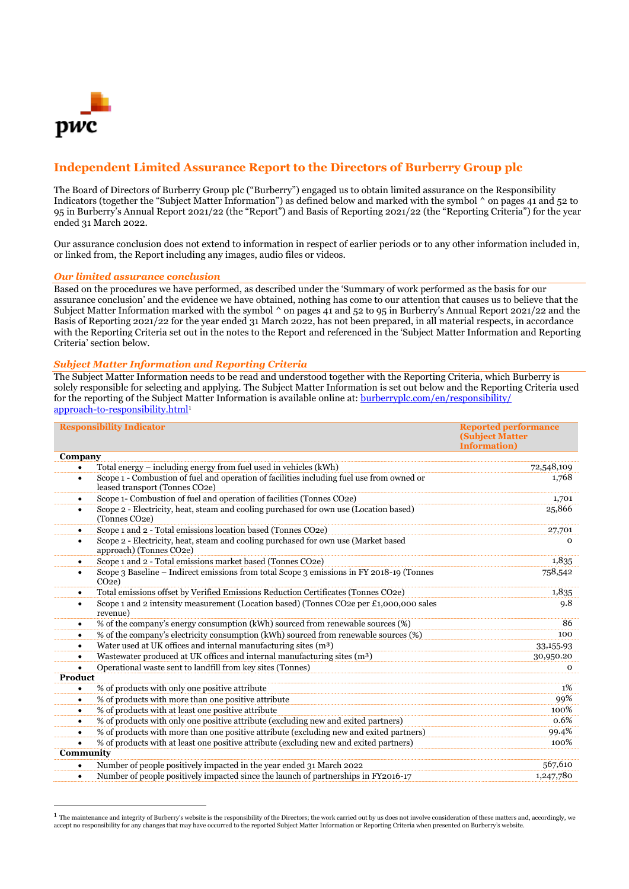

# **Independent Limited Assurance Report to the Directors of Burberry Group plc**

The Board of Directors of Burberry Group plc ("Burberry") engaged us to obtain limited assurance on the Responsibility Indicators (together the "Subject Matter Information") as defined below and marked with the symbol ^ on pages 41 and 52 to 95 in Burberry's Annual Report 2021/22 (the "Report") and Basis of Reporting 2021/22 (the "Reporting Criteria") for the year ended 31 March 2022.

Our assurance conclusion does not extend to information in respect of earlier periods or to any other information included in, or linked from, the Report including any images, audio files or videos.

#### *Our limited assurance conclusion*

Based on the procedures we have performed, as described under the 'Summary of work performed as the basis for our assurance conclusion' and the evidence we have obtained, nothing has come to our attention that causes us to believe that the Subject Matter Information marked with the symbol  $\wedge$  on pages 41 and 52 to 95 in Burberry's Annual Report 2021/22 and the Basis of Reporting 2021/22 for the year ended 31 March 2022, has not been prepared, in all material respects, in accordance with the Reporting Criteria set out in the notes to the Report and referenced in the 'Subject Matter Information and Reporting Criteria' section below.

# *Subject Matter Information and Reporting Criteria*

The Subject Matter Information needs to be read and understood together with the Reporting Criteria, which Burberry is solely responsible for selecting and applying. The Subject Matter Information is set out below and the Reporting Criteria used for the reporting of the Subject Matter Information is available online at[: burberryplc.com/en/responsibility/](file:///C:/Users/lpegram001/Downloads/burberryplc.com/en/responsibility/) [approach-to-responsibility.html](file:///C:/Users/lpegram001/Downloads/burberryplc.com/en/responsibility/)<sup>1</sup>

| <b>Responsibility Indicator</b> |                                                                                                                             | <b>Reported performance</b><br><b>(Subject Matter)</b><br><b>Information</b> ) |
|---------------------------------|-----------------------------------------------------------------------------------------------------------------------------|--------------------------------------------------------------------------------|
| Company                         |                                                                                                                             |                                                                                |
| ٠                               | Total energy – including energy from fuel used in vehicles (kWh)                                                            | 72,548,109                                                                     |
| $\bullet$                       | Scope 1 - Combustion of fuel and operation of facilities including fuel use from owned or<br>leased transport (Tonnes CO2e) | 1,768                                                                          |
| $\bullet$                       | Scope 1- Combustion of fuel and operation of facilities (Tonnes CO2e)                                                       | 1,701                                                                          |
| $\bullet$                       | Scope 2 - Electricity, heat, steam and cooling purchased for own use (Location based)<br>(Tonnes CO <sub>2e</sub> )         | 25,866                                                                         |
| $\bullet$                       | Scope 1 and 2 - Total emissions location based (Tonnes CO2e)                                                                | 27,701                                                                         |
| $\bullet$                       | Scope 2 - Electricity, heat, steam and cooling purchased for own use (Market based<br>approach) (Tonnes CO <sub>2e</sub> )  | $\Omega$                                                                       |
| $\bullet$                       | Scope 1 and 2 - Total emissions market based (Tonnes CO2e)                                                                  | 1,835                                                                          |
| $\bullet$                       | Scope 3 Baseline – Indirect emissions from total Scope 3 emissions in FY 2018-19 (Tonnes<br>CO <sub>2e</sub>                | 758,542                                                                        |
| $\bullet$                       | Total emissions offset by Verified Emissions Reduction Certificates (Tonnes CO2e)                                           | 1,835                                                                          |
| $\bullet$                       | Scope 1 and 2 intensity measurement (Location based) (Tonnes CO2e per £1,000,000 sales<br>revenue)                          | 9.8                                                                            |
| $\bullet$                       | % of the company's energy consumption (kWh) sourced from renewable sources (%)                                              | 86                                                                             |
| ٠                               | % of the company's electricity consumption (kWh) sourced from renewable sources (%)                                         | 100                                                                            |
| $\bullet$                       | Water used at UK offices and internal manufacturing sites (m <sup>3</sup> )                                                 | 33,155.93                                                                      |
| $\bullet$                       | Wastewater produced at UK offices and internal manufacturing sites (m <sup>3</sup> )                                        | 30,950.20                                                                      |
|                                 | Operational waste sent to landfill from key sites (Tonnes)                                                                  | $\mathbf{o}$                                                                   |
| Product                         |                                                                                                                             |                                                                                |
| $\bullet$                       | % of products with only one positive attribute                                                                              | $1\%$                                                                          |
| $\bullet$                       | % of products with more than one positive attribute                                                                         | 99%                                                                            |
| $\bullet$                       | % of products with at least one positive attribute                                                                          | 100%                                                                           |
| $\bullet$                       | % of products with only one positive attribute (excluding new and exited partners)                                          | 0.6%                                                                           |
| $\bullet$                       | % of products with more than one positive attribute (excluding new and exited partners)                                     | 99.4%                                                                          |
|                                 | % of products with at least one positive attribute (excluding new and exited partners)                                      | 100%                                                                           |
| Community                       |                                                                                                                             |                                                                                |
| $\bullet$                       | Number of people positively impacted in the year ended 31 March 2022                                                        | 567,610                                                                        |
| $\bullet$                       | Number of people positively impacted since the launch of partnerships in FY2016-17                                          | 1,247,780                                                                      |

 $1$  The maintenance and integrity of Burberry's website is the responsibility of the Directors; the work carried out by us does not involve consideration of these matters and, accordingly, we accept no responsibility for any changes that may have occurred to the reported Subject Matter Information or Reporting Criteria when presented on Burberry's website.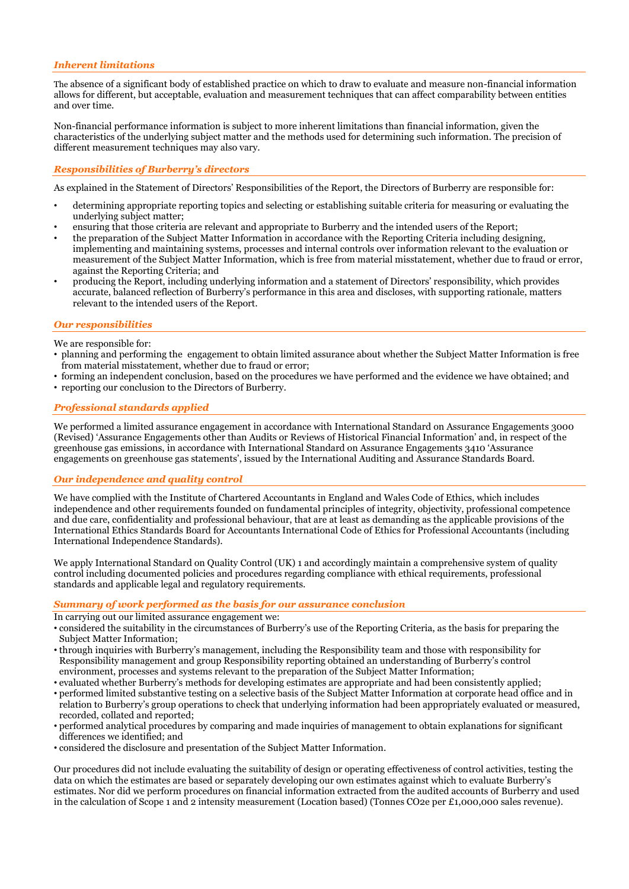# *Inherent limitations*

The absence of a significant body of established practice on which to draw to evaluate and measure non-financial information allows for different, but acceptable, evaluation and measurement techniques that can affect comparability between entities and over time.

Non-financial performance information is subject to more inherent limitations than financial information, given the characteristics of the underlying subject matter and the methods used for determining such information. The precision of different measurement techniques may also vary.

## *Responsibilities of Burberry's directors*

As explained in the Statement of Directors' Responsibilities of the Report, the Directors of Burberry are responsible for:

- determining appropriate reporting topics and selecting or establishing suitable criteria for measuring or evaluating the underlying subject matter;
- ensuring that those criteria are relevant and appropriate to Burberry and the intended users of the Report;
- the preparation of the Subject Matter Information in accordance with the Reporting Criteria including designing, implementing and maintaining systems, processes and internal controls over information relevant to the evaluation or measurement of the Subject Matter Information, which is free from material misstatement, whether due to fraud or error, against the Reporting Criteria; and
- producing the Report, including underlying information and a statement of Directors' responsibility, which provides accurate, balanced reflection of Burberry's performance in this area and discloses, with supporting rationale, matters relevant to the intended users of the Report.

## *Our responsibilities*

We are responsible for:

- planning and performing the engagement to obtain limited assurance about whether the Subject Matter Information is free from material misstatement, whether due to fraud or error;
- forming an independent conclusion, based on the procedures we have performed and the evidence we have obtained; and
- reporting our conclusion to the Directors of Burberry.

#### *Professional standards applied*

We performed a limited assurance engagement in accordance with International Standard on Assurance Engagements 3000 (Revised) 'Assurance Engagements other than Audits or Reviews of Historical Financial Information' and, in respect of the greenhouse gas emissions, in accordance with International Standard on Assurance Engagements 3410 'Assurance engagements on greenhouse gas statements', issued by the International Auditing and Assurance Standards Board.

#### *Our independence and quality control*

We have complied with the Institute of Chartered Accountants in England and Wales Code of Ethics, which includes independence and other requirements founded on fundamental principles of integrity, objectivity, professional competence and due care, confidentiality and professional behaviour, that are at least as demanding as the applicable provisions of the International Ethics Standards Board for Accountants International Code of Ethics for Professional Accountants (including International Independence Standards).

We apply International Standard on Quality Control (UK) 1 and accordingly maintain a comprehensive system of quality control including documented policies and procedures regarding compliance with ethical requirements, professional standards and applicable legal and regulatory requirements.

#### *Summary of work performed as the basis for our assurance conclusion*

In carrying out our limited assurance engagement we:

- considered the suitability in the circumstances of Burberry's use of the Reporting Criteria, as the basis for preparing the Subject Matter Information;
- through inquiries with Burberry's management, including the Responsibility team and those with responsibility for Responsibility management and group Responsibility reporting obtained an understanding of Burberry's control environment, processes and systems relevant to the preparation of the Subject Matter Information;
- evaluated whether Burberry's methods for developing estimates are appropriate and had been consistently applied; • performed limited substantive testing on a selective basis of the Subject Matter Information at corporate head office and in relation to Burberry's group operations to check that underlying information had been appropriately evaluated or measured, recorded, collated and reported;
- performed analytical procedures by comparing and made inquiries of management to obtain explanations for significant differences we identified; and
- considered the disclosure and presentation of the Subject Matter Information.

Our procedures did not include evaluating the suitability of design or operating effectiveness of control activities, testing the data on which the estimates are based or separately developing our own estimates against which to evaluate Burberry's estimates. Nor did we perform procedures on financial information extracted from the audited accounts of Burberry and used in the calculation of Scope 1 and 2 intensity measurement (Location based) (Tonnes CO2e per £1,000,000 sales revenue).